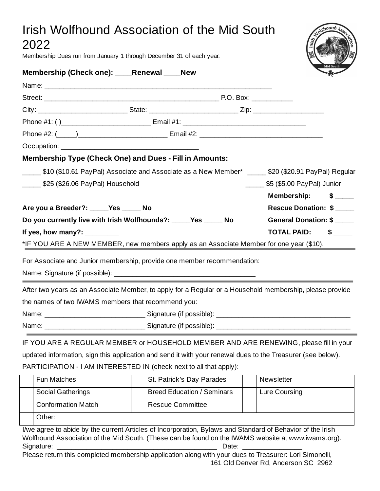## Irish Wolfhound Association of the Mid South 2022

Membership Dues run from January 1 through December 31 of each year.



| <b>Fun Matches</b>        | St. Patrick's Day Parades         | Newsletter    |
|---------------------------|-----------------------------------|---------------|
| <b>Social Gatherings</b>  | <b>Breed Education / Seminars</b> | Lure Coursing |
| <b>Conformation Match</b> | Rescue Committee                  |               |
| Other:                    |                                   |               |

I/we agree to abide by the current Articles of Incorporation, Bylaws and Standard of Behavior of the Irish Wolfhound Association of the Mid South. (These can be found on the IWAMS website at www.iwams.org). Signature: \_\_\_\_\_\_\_\_\_\_\_\_\_\_\_\_\_\_\_\_\_\_\_\_\_\_\_\_\_\_\_\_\_\_\_\_\_\_\_\_\_\_\_ Date: \_\_\_\_\_\_\_\_\_\_\_\_\_\_\_\_

Please return this completed membership application along with your dues to Treasurer: Lori Simonelli, 161 Old Denver Rd, Anderson SC 2962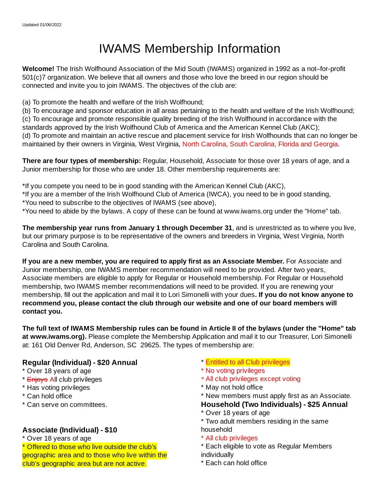# IWAMS Membership Information

**Welcome!** The Irish Wolfhound Association of the Mid South (IWAMS) organized in 1992 as a not–for-profit 501(c)7 organization. We believe that all owners and those who love the breed in our region should be connected and invite you to join IWAMS. The objectives of the club are:

(a) To promote the health and welfare of the Irish Wolfhound;

(b) To encourage and sponsor education in all areas pertaining to the health and welfare of the Irish Wolfhound; (c) To encourage and promote responsible quality breeding of the Irish Wolfhound in accordance with the standards approved by the Irish Wolfhound Club of America and the American Kennel Club (AKC); (d) To promote and maintain an active rescue and placement service for Irish Wolfhounds that can no longer be maintained by their owners in Virginia, West Virginia, North Carolina, South Carolina, Florida and Georgia.

**There are four types of membership:** Regular, Household, Associate for those over 18 years of age, and a Junior membership for those who are under 18. Other membership requirements are:

\*If you compete you need to be in good standing with the American Kennel Club (AKC), \*If you are a member of the Irish Wolfhound Club of America (IWCA), you need to be in good standing, \*You need to subscribe to the objectives of IWAMS (see above),

\*You need to abide by the bylaws. A copy of these can be found at www.iwams.org under the "Home" tab.

**The membership year runs from January 1 through December 31**, and is unrestricted as to where you live, but our primary purpose is to be representative of the owners and breeders in Virginia, West Virginia, North Carolina and South Carolina.

**If you are a new member, you are required to apply first as an Associate Member.** For Associate and Junior membership, one IWAMS member recommendation will need to be provided. After two years, Associate members are eligible to apply for Regular or Household membership. For Regular or Household membership, two IWAMS member recommendations will need to be provided. If you are renewing your membership, fill out the application and mail it to Lori Simonelli with your dues**. If you do not know anyone to recommend you, please contact the club through our website and one of our board members will contact you.**

The full text of IWAMS Membership rules can be found in Article II of the bylaws (under the "Home" tab **at www.iwams.org).** Please complete the Membership Application and mail it to our Treasurer, Lori Simonelli at: 161 Old Denver Rd, Anderson, SC 29625. The types of membership are:

### **Regular (Individual) - \$20 Annual**

- \* Over 18 years of age
- \* **Enjoys All club privileges**
- \* Has voting privileges
- \* Can hold office
- \* Can serve on committees.

#### **Associate (Individual) - \$10**

\* Over 18 years of age

\* Offered to those who live outside the club's geographic area and to those who live within the club's geographic area but are not active.

- \* Entitled to all Club privileges
- \* No voting privileges
- \* All club privileges except voting
- \* May not hold office
- \* New members must apply first as an Associate. **Household (Two Individuals) - \$25 Annual**
- \* Over 18 years of age
- \* Two adult members residing in the same household
- \* All club privileges
- \* Each eligible to vote as Regular Members individually
- \* Each can hold office